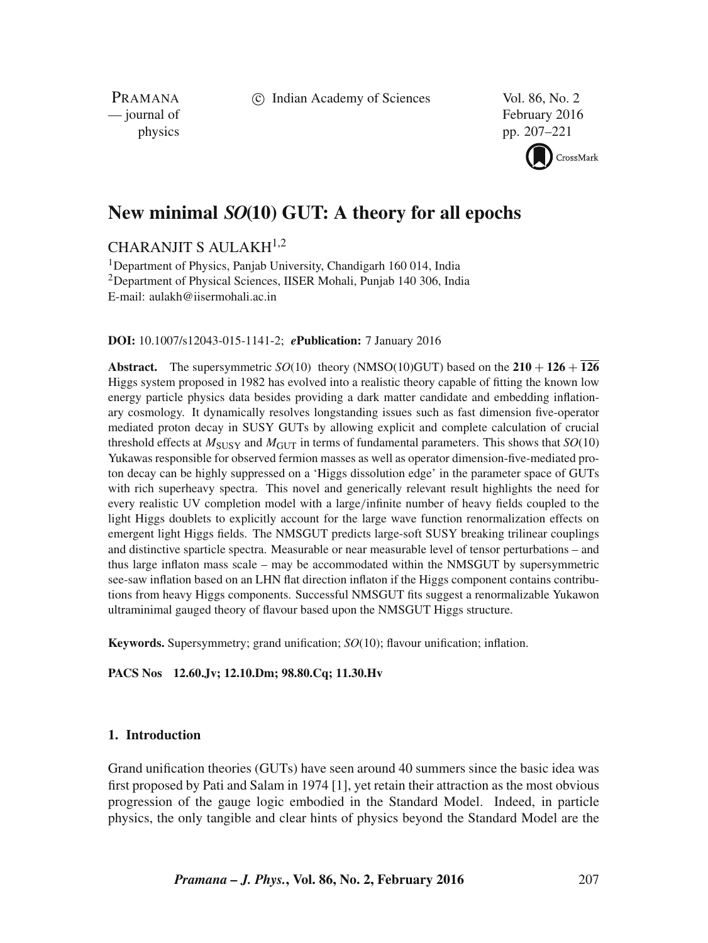c Indian Academy of Sciences Vol. 86, No. 2

PRAMANA<br>
— journal of

February 2016 physics pp. 207–221

CrossMark

# **New minimal** SO**(10) GUT: A theory for all epochs**

## CHARANJIT S AULAKH1,2

<sup>1</sup>Department of Physics, Panjab University, Chandigarh 160 014, India <sup>2</sup>Department of Physical Sciences, IISER Mohali, Punjab 140 306, India E-mail: aulakh@iisermohali.ac.in

## **DOI:** 10.1007/s12043-015-1141-2; *e***Publication:** 7 January 2016

**Abstract.** The supersymmetric *SO*(10) theory (NMSO(10)GUT) based on the  $210 + 126 + 126$ Higgs system proposed in 1982 has evolved into a realistic theory capable of fitting the known low energy particle physics data besides providing a dark matter candidate and embedding inflationary cosmology. It dynamically resolves longstanding issues such as fast dimension five-operator mediated proton decay in SUSY GUTs by allowing explicit and complete calculation of crucial threshold effects at  $M_{\text{SUSY}}$  and  $M_{\text{GUT}}$  in terms of fundamental parameters. This shows that  $SO(10)$ Yukawas responsible for observed fermion masses as well as operator dimension-five-mediated proton decay can be highly suppressed on a 'Higgs dissolution edge' in the parameter space of GUTs with rich superheavy spectra. This novel and generically relevant result highlights the need for every realistic UV completion model with a large/infinite number of heavy fields coupled to the light Higgs doublets to explicitly account for the large wave function renormalization effects on emergent light Higgs fields. The NMSGUT predicts large-soft SUSY breaking trilinear couplings and distinctive sparticle spectra. Measurable or near measurable level of tensor perturbations – and thus large inflaton mass scale – may be accommodated within the NMSGUT by supersymmetric see-saw inflation based on an LHN flat direction inflaton if the Higgs component contains contributions from heavy Higgs components. Successful NMSGUT fits suggest a renormalizable Yukawon ultraminimal gauged theory of flavour based upon the NMSGUT Higgs structure.

**Keywords.** Supersymmetry; grand unification; *SO*(10); flavour unification; inflation.

**PACS Nos 12.60.Jv; 12.10.Dm; 98.80.Cq; 11.30.Hv**

## **1. Introduction**

Grand unification theories (GUTs) have seen around 40 summers since the basic idea was first proposed by Pati and Salam in 1974 [1], yet retain their attraction as the most obvious progression of the gauge logic embodied in the Standard Model. Indeed, in particle physics, the only tangible and clear hints of physics beyond the Standard Model are the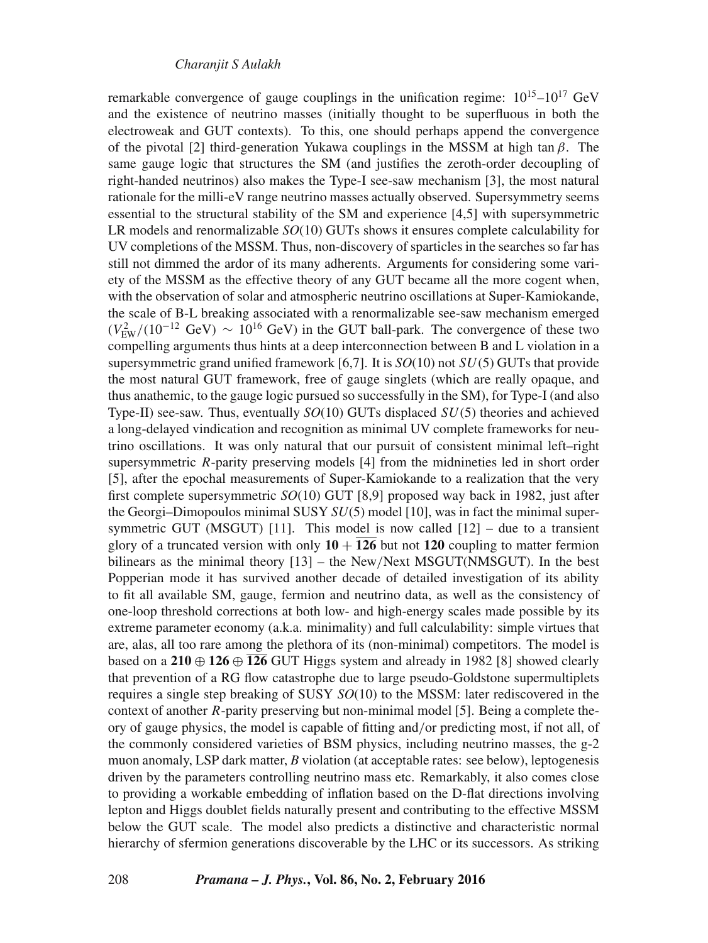remarkable convergence of gauge couplings in the unification regime:  $10^{15}$ – $10^{17}$  GeV and the existence of neutrino masses (initially thought to be superfluous in both the electroweak and GUT contexts). To this, one should perhaps append the convergence of the pivotal [2] third-generation Yukawa couplings in the MSSM at high tan  $\beta$ . The same gauge logic that structures the SM (and justifies the zeroth-order decoupling of right-handed neutrinos) also makes the Type-I see-saw mechanism [3], the most natural rationale for the milli-eV range neutrino masses actually observed. Supersymmetry seems essential to the structural stability of the SM and experience [4,5] with supersymmetric LR models and renormalizable *SO*(10) GUTs shows it ensures complete calculability for UV completions of the MSSM. Thus, non-discovery of sparticles in the searches so far has still not dimmed the ardor of its many adherents. Arguments for considering some variety of the MSSM as the effective theory of any GUT became all the more cogent when, with the observation of solar and atmospheric neutrino oscillations at Super-Kamiokande, the scale of B-L breaking associated with a renormalizable see-saw mechanism emerged  $(V_{\text{EW}}^2/(10^{-12} \text{ GeV}) \sim 10^{16} \text{ GeV})$  in the GUT ball-park. The convergence of these two compelling arguments thus hints at a deep interconnection between B and L violation in a supersymmetric grand unified framework [6,7]. It is *SO*(10) not SU(5) GUTs that provide the most natural GUT framework, free of gauge singlets (which are really opaque, and thus anathemic, to the gauge logic pursued so successfully in the SM), for Type-I (and also Type-II) see-saw. Thus, eventually *SO*(10) GUTs displaced SU(5) theories and achieved a long-delayed vindication and recognition as minimal UV complete frameworks for neutrino oscillations. It was only natural that our pursuit of consistent minimal left–right supersymmetric R-parity preserving models [4] from the midnineties led in short order [5], after the epochal measurements of Super-Kamiokande to a realization that the very first complete supersymmetric *SO*(10) GUT [8,9] proposed way back in 1982, just after the Georgi–Dimopoulos minimal SUSY *SU*(5) model [10], was in fact the minimal supersymmetric GUT (MSGUT) [11]. This model is now called  $[12]$  – due to a transient glory of a truncated version with only  $10 + \overline{126}$  but not 120 coupling to matter fermion bilinears as the minimal theory [13] – the New/Next MSGUT(NMSGUT). In the best Popperian mode it has survived another decade of detailed investigation of its ability to fit all available SM, gauge, fermion and neutrino data, as well as the consistency of one-loop threshold corrections at both low- and high-energy scales made possible by its extreme parameter economy (a.k.a. minimality) and full calculability: simple virtues that are, alas, all too rare among the plethora of its (non-minimal) competitors. The model is based on a **210** ⊕ **126** ⊕ **126** GUT Higgs system and already in 1982 [8] showed clearly that prevention of a RG flow catastrophe due to large pseudo-Goldstone supermultiplets requires a single step breaking of SUSY *SO*(10) to the MSSM: later rediscovered in the context of another R-parity preserving but non-minimal model [5]. Being a complete theory of gauge physics, the model is capable of fitting and/or predicting most, if not all, of the commonly considered varieties of BSM physics, including neutrino masses, the g-2 muon anomaly, LSP dark matter, *B* violation (at acceptable rates: see below), leptogenesis driven by the parameters controlling neutrino mass etc. Remarkably, it also comes close to providing a workable embedding of inflation based on the D-flat directions involving lepton and Higgs doublet fields naturally present and contributing to the effective MSSM below the GUT scale. The model also predicts a distinctive and characteristic normal hierarchy of sfermion generations discoverable by the LHC or its successors. As striking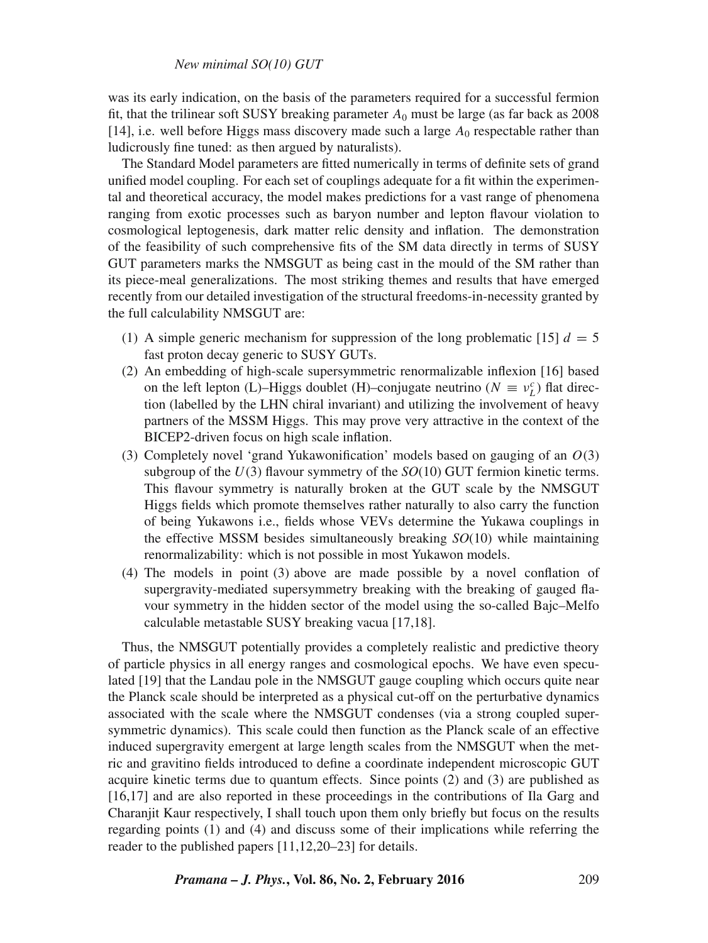## *New minimal SO(10) GUT*

was its early indication, on the basis of the parameters required for a successful fermion fit, that the trilinear soft SUSY breaking parameter  $A_0$  must be large (as far back as 2008) [14], i.e. well before Higgs mass discovery made such a large  $A_0$  respectable rather than ludicrously fine tuned: as then argued by naturalists).

The Standard Model parameters are fitted numerically in terms of definite sets of grand unified model coupling. For each set of couplings adequate for a fit within the experimental and theoretical accuracy, the model makes predictions for a vast range of phenomena ranging from exotic processes such as baryon number and lepton flavour violation to cosmological leptogenesis, dark matter relic density and inflation. The demonstration of the feasibility of such comprehensive fits of the SM data directly in terms of SUSY GUT parameters marks the NMSGUT as being cast in the mould of the SM rather than its piece-meal generalizations. The most striking themes and results that have emerged recently from our detailed investigation of the structural freedoms-in-necessity granted by the full calculability NMSGUT are:

- (1) A simple generic mechanism for suppression of the long problematic [15]  $d = 5$ fast proton decay generic to SUSY GUTs.
- (2) An embedding of high-scale supersymmetric renormalizable inflexion [16] based on the left lepton (L)–Higgs doublet (H)–conjugate neutrino ( $N \equiv v_L^c$ ) flat direction (labelled by the LHN chiral invariant) and utilizing the involvement of heavy partners of the MSSM Higgs. This may prove very attractive in the context of the BICEP2-driven focus on high scale inflation.
- (3) Completely novel 'grand Yukawonification' models based on gauging of an  $O(3)$ subgroup of the  $U(3)$  flavour symmetry of the  $SO(10)$  GUT fermion kinetic terms. This flavour symmetry is naturally broken at the GUT scale by the NMSGUT Higgs fields which promote themselves rather naturally to also carry the function of being Yukawons i.e., fields whose VEVs determine the Yukawa couplings in the effective MSSM besides simultaneously breaking *SO*(10) while maintaining renormalizability: which is not possible in most Yukawon models.
- (4) The models in point (3) above are made possible by a novel conflation of supergravity-mediated supersymmetry breaking with the breaking of gauged flavour symmetry in the hidden sector of the model using the so-called Bajc–Melfo calculable metastable SUSY breaking vacua [17,18].

Thus, the NMSGUT potentially provides a completely realistic and predictive theory of particle physics in all energy ranges and cosmological epochs. We have even speculated [19] that the Landau pole in the NMSGUT gauge coupling which occurs quite near the Planck scale should be interpreted as a physical cut-off on the perturbative dynamics associated with the scale where the NMSGUT condenses (via a strong coupled supersymmetric dynamics). This scale could then function as the Planck scale of an effective induced supergravity emergent at large length scales from the NMSGUT when the metric and gravitino fields introduced to define a coordinate independent microscopic GUT acquire kinetic terms due to quantum effects. Since points (2) and (3) are published as [16,17] and are also reported in these proceedings in the contributions of Ila Garg and Charanjit Kaur respectively, I shall touch upon them only briefly but focus on the results regarding points (1) and (4) and discuss some of their implications while referring the reader to the published papers [11,12,20–23] for details.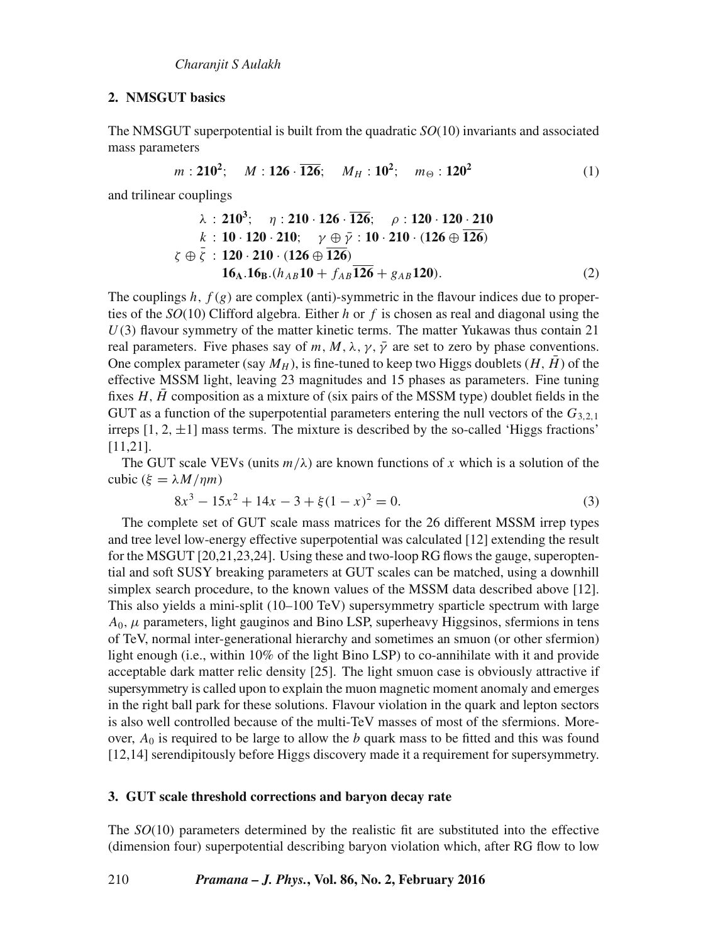## **2. NMSGUT basics**

The NMSGUT superpotential is built from the quadratic *SO*(10) invariants and associated mass parameters

$$
m: \mathbf{210}^2; \quad M: \mathbf{126} \cdot \overline{\mathbf{126}}; \quad M_H: \mathbf{10}^2; \quad m_{\Theta}: \mathbf{120}^2 \tag{1}
$$

and trilinear couplings

$$
\lambda : 210^3; \quad \eta : 210 \cdot 126 \cdot \overline{126}; \quad \rho : 120 \cdot 120 \cdot 210
$$
\n
$$
k : 10 \cdot 120 \cdot 210; \quad \gamma \oplus \bar{\gamma} : 10 \cdot 210 \cdot (126 \oplus \overline{126})
$$
\n
$$
\zeta \oplus \bar{\zeta} : 120 \cdot 210 \cdot (126 \oplus \overline{126})
$$
\n
$$
16_A.16_B.(h_{AB}10 + f_{AB}\overline{126} + g_{AB}120).
$$
\n(2)

The couplings h,  $f(g)$  are complex (anti)-symmetric in the flavour indices due to properties of the *SO*(10) Clifford algebra. Either h or f is chosen as real and diagonal using the  $U(3)$  flavour symmetry of the matter kinetic terms. The matter Yukawas thus contain 21 real parameters. Five phases say of m, M,  $\lambda$ ,  $\gamma$ ,  $\bar{\gamma}$  are set to zero by phase conventions. One complex parameter (say  $M_H$ ), is fine-tuned to keep two Higgs doublets  $(H, \bar{H})$  of the effective MSSM light, leaving 23 magnitudes and 15 phases as parameters. Fine tuning fixes  $H, \overline{H}$  composition as a mixture of (six pairs of the MSSM type) doublet fields in the GUT as a function of the superpotential parameters entering the null vectors of the  $G_{3,2,1}$ irreps  $[1, 2, \pm 1]$  mass terms. The mixture is described by the so-called 'Higgs fractions' [11,21].

The GUT scale VEVs (units  $m/\lambda$ ) are known functions of x which is a solution of the cubic ( $\xi = \lambda M / \eta m$ )

$$
8x3 - 15x2 + 14x - 3 + \xi(1 - x)2 = 0.
$$
 (3)

The complete set of GUT scale mass matrices for the 26 different MSSM irrep types and tree level low-energy effective superpotential was calculated [12] extending the result for the MSGUT [20,21,23,24]. Using these and two-loop RG flows the gauge, superoptential and soft SUSY breaking parameters at GUT scales can be matched, using a downhill simplex search procedure, to the known values of the MSSM data described above [12]. This also yields a mini-split (10–100 TeV) supersymmetry sparticle spectrum with large  $A_0$ ,  $\mu$  parameters, light gauginos and Bino LSP, superheavy Higgsinos, sfermions in tens of TeV, normal inter-generational hierarchy and sometimes an smuon (or other sfermion) light enough (i.e., within 10% of the light Bino LSP) to co-annihilate with it and provide acceptable dark matter relic density [25]. The light smuon case is obviously attractive if supersymmetry is called upon to explain the muon magnetic moment anomaly and emerges in the right ball park for these solutions. Flavour violation in the quark and lepton sectors is also well controlled because of the multi-TeV masses of most of the sfermions. Moreover,  $A_0$  is required to be large to allow the b quark mass to be fitted and this was found [12,14] serendipitously before Higgs discovery made it a requirement for supersymmetry.

## **3. GUT scale threshold corrections and baryon decay rate**

The *SO*(10) parameters determined by the realistic fit are substituted into the effective (dimension four) superpotential describing baryon violation which, after RG flow to low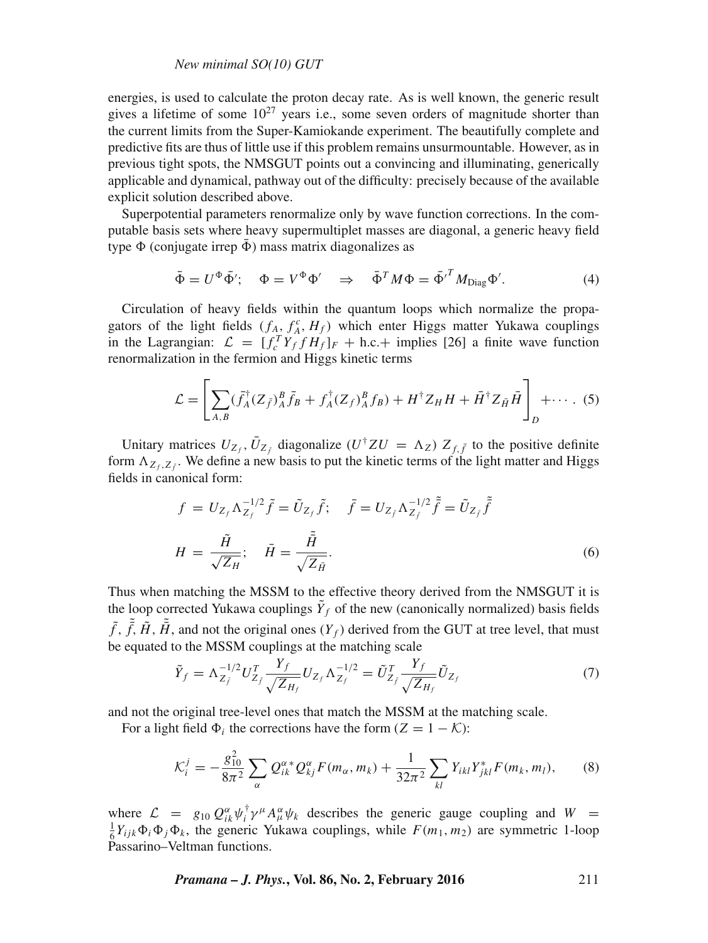## *New minimal SO(10) GUT*

energies, is used to calculate the proton decay rate. As is well known, the generic result gives a lifetime of some  $10^{27}$  years i.e., some seven orders of magnitude shorter than the current limits from the Super-Kamiokande experiment. The beautifully complete and predictive fits are thus of little use if this problem remains unsurmountable. However, as in previous tight spots, the NMSGUT points out a convincing and illuminating, generically applicable and dynamical, pathway out of the difficulty: precisely because of the available explicit solution described above.

Superpotential parameters renormalize only by wave function corrections. In the computable basis sets where heavy supermultiplet masses are diagonal, a generic heavy field type  $\Phi$  (conjugate irrep  $\bar{\Phi}$ ) mass matrix diagonalizes as

$$
\bar{\Phi} = U^{\Phi} \bar{\Phi}'; \quad \Phi = V^{\Phi} \Phi' \quad \Rightarrow \quad \bar{\Phi}^T M \Phi = \bar{\Phi'}^T M_{\text{Diag}} \Phi'.
$$
 (4)

Circulation of heavy fields within the quantum loops which normalize the propagators of the light fields  $(f_A, f_A^c, H_f)$  which enter Higgs matter Yukawa couplings in the Lagrangian:  $\mathcal{L} = [f_c^T Y_f f H_f]_F + \text{h.c.} + \text{implies}$  [26] a finite wave function renormalization in the fermion and Higgs kinetic terms

$$
\mathcal{L} = \left[ \sum_{A,B} (\bar{f}_A^{\dagger} (Z_{\bar{f}})^B_A \bar{f}_B + f_A^{\dagger} (Z_f)^B_A f_B) + H^{\dagger} Z_H H + \bar{H}^{\dagger} Z_{\bar{H}} \bar{H} \right]_D + \cdots .
$$
 (5)

Unitary matrices  $U_{Z_f}$ ,  $\bar{U}_{Z_f}$  diagonalize  $(U^{\dagger}ZU = \Lambda_Z) Z_{f,\bar{f}}$  to the positive definite form  $\Lambda_{Z_f, Z_f}$ . We define a new basis to put the kinetic terms of the light matter and Higgs fields in canonical form:

$$
f = U_{Z_f} \Lambda_{Z_f}^{-1/2} \tilde{f} = \tilde{U}_{Z_f} \tilde{f}; \quad \tilde{f} = U_{Z_{\tilde{f}}} \Lambda_{Z_{\tilde{f}}}^{-1/2} \tilde{\tilde{f}} = \tilde{U}_{Z_{\tilde{f}}} \tilde{\tilde{f}}
$$

$$
H = \frac{\tilde{H}}{\sqrt{Z_H}}; \quad \tilde{H} = \frac{\tilde{\tilde{H}}}{\sqrt{Z_{\tilde{H}}}}.
$$
(6)

Thus when matching the MSSM to the effective theory derived from the NMSGUT it is the loop corrected Yukawa couplings  $Y_f$  of the new (canonically normalized) basis fields  $\tilde{f}$ ,  $\tilde{f}$ ,  $\tilde{H}$ ,  $\tilde{H}$ , and not the original ones  $(Y_f)$  derived from the GUT at tree level, that must be equated to the MSSM couplings at the matching scale

$$
\tilde{Y}_f = \Lambda_{Z_f}^{-1/2} U_{Z_f}^T \frac{Y_f}{\sqrt{Z_{H_f}}} U_{Z_f} \Lambda_{Z_f}^{-1/2} = \tilde{U}_{Z_f}^T \frac{Y_f}{\sqrt{Z_{H_f}}} \tilde{U}_{Z_f}
$$
\n(7)

and not the original tree-level ones that match the MSSM at the matching scale.

For a light field  $\Phi_i$  the corrections have the form  $(Z = 1 - K)$ :

$$
\mathcal{K}_i^j = -\frac{g_{10}^2}{8\pi^2} \sum_{\alpha} Q_{ik}^{\alpha*} Q_{kj}^{\alpha} F(m_{\alpha}, m_k) + \frac{1}{32\pi^2} \sum_{kl} Y_{ikl} Y_{jkl}^* F(m_k, m_l), \tag{8}
$$

where  $\mathcal{L} = g_{10} Q_{ik}^{\alpha} \psi_i^{\dagger} \gamma^{\mu} A_{\mu}^{\alpha} \psi_k$  describes the generic gauge coupling and  $W =$  $\frac{1}{6}Y_{ijk}\Phi_i\Phi_j\Phi_k$ , the generic Yukawa couplings, while  $F(m_1, m_2)$  are symmetric 1-loop Passarino–Veltman functions.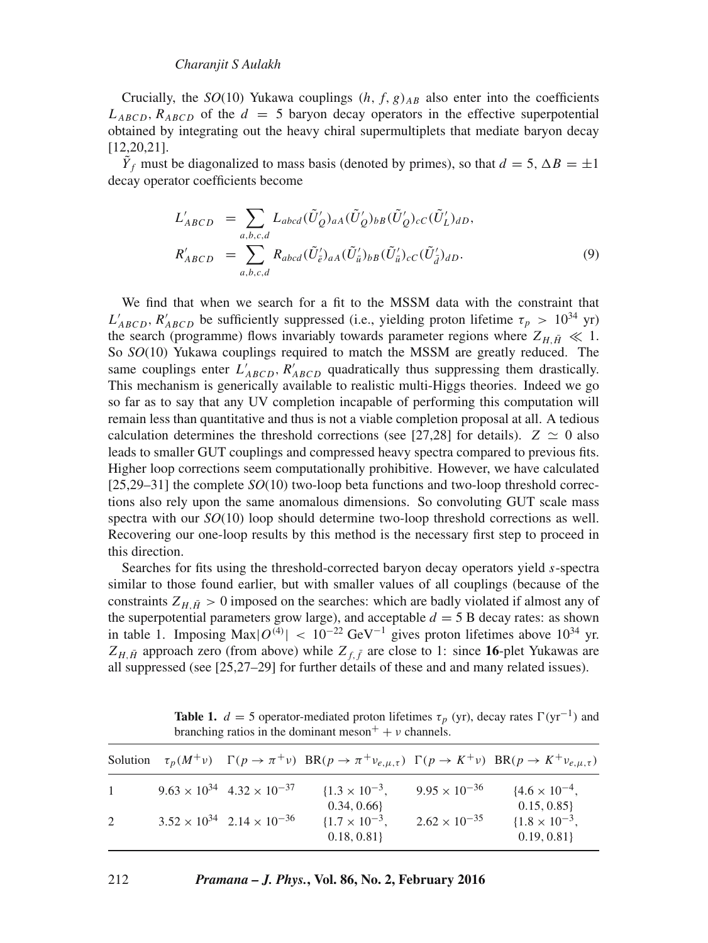## *Charanjit S Aulakh*

Crucially, the  $SO(10)$  Yukawa couplings  $(h, f, g)_{AB}$  also enter into the coefficients  $L_{ABCD}$ ,  $R_{ABCD}$  of the  $d = 5$  baryon decay operators in the effective superpotential obtained by integrating out the heavy chiral supermultiplets that mediate baryon decay [12,20,21].

 $Y_f$  must be diagonalized to mass basis (denoted by primes), so that  $d = 5$ ,  $\Delta B = \pm 1$ decay operator coefficients become

$$
L'_{ABCD} = \sum_{a,b,c,d} L_{abcd}(\tilde{U}'_Q)_{aa}(\tilde{U}'_Q)_{bb}(\tilde{U}'_Q)_{cC}(\tilde{U}'_L)_{dD},
$$
  

$$
R'_{ABCD} = \sum_{a,b,c,d} R_{abcd}(\tilde{U}'_e)_{aa}(\tilde{U}'_a)_{bb}(\tilde{U}'_a)_{cC}(\tilde{U}'_d)_{dD}.
$$
 (9)

We find that when we search for a fit to the MSSM data with the constraint that  $L'_{ABCD}$ ,  $R'_{ABCD}$  be sufficiently suppressed (i.e., yielding proton lifetime  $\tau_p > 10^{34}$  yr) the search (programme) flows invariably towards parameter regions where  $Z_{H,\bar{H}} \ll 1$ . So *SO*(10) Yukawa couplings required to match the MSSM are greatly reduced. The same couplings enter  $L'_{ABCD}$ ,  $R'_{ABCD}$  quadratically thus suppressing them drastically. This mechanism is generically available to realistic multi-Higgs theories. Indeed we go so far as to say that any UV completion incapable of performing this computation will remain less than quantitative and thus is not a viable completion proposal at all. A tedious calculation determines the threshold corrections (see [27,28] for details).  $Z \simeq 0$  also leads to smaller GUT couplings and compressed heavy spectra compared to previous fits. Higher loop corrections seem computationally prohibitive. However, we have calculated [25,29–31] the complete *SO*(10) two-loop beta functions and two-loop threshold corrections also rely upon the same anomalous dimensions. So convoluting GUT scale mass spectra with our *SO*(10) loop should determine two-loop threshold corrections as well. Recovering our one-loop results by this method is the necessary first step to proceed in this direction.

Searches for fits using the threshold-corrected baryon decay operators yield s-spectra similar to those found earlier, but with smaller values of all couplings (because of the constraints  $Z_{H,\bar{H}} > 0$  imposed on the searches: which are badly violated if almost any of the superpotential parameters grow large), and acceptable  $d = 5$  B decay rates: as shown in table 1. Imposing Max $|O^{(4)}|$  < 10<sup>-22</sup> GeV<sup>-1</sup> gives proton lifetimes above 10<sup>34</sup> yr.  $Z_{H,\bar{H}}$  approach zero (from above) while  $Z_{f,\bar{f}}$  are close to 1: since 16-plet Yukawas are all suppressed (see [25,27–29] for further details of these and and many related issues).

|              |                                              | Solution $\tau_p(M^{\dagger}v)$ $\Gamma(p \to \pi^{\dagger}v)$ $BR(p \to \pi^{\dagger}v_{e,\mu,\tau})$ $\Gamma(p \to K^{\dagger}v)$ $BR(p \to K^{\dagger}v_{e,\mu,\tau})$ |                        |                                         |
|--------------|----------------------------------------------|---------------------------------------------------------------------------------------------------------------------------------------------------------------------------|------------------------|-----------------------------------------|
| $\mathbf{1}$ | $9.63 \times 10^{34}$ 4.32 $\times 10^{-37}$ | $\{1.3 \times 10^{-3},\}$<br>0.34, 0.66                                                                                                                                   | $9.95 \times 10^{-36}$ | ${4.6 \times 10^{-4}}$ ,<br>0.15, 0.85  |
| 2            | $3.52 \times 10^{34}$ $2.14 \times 10^{-36}$ | $\{1.7 \times 10^{-3},\}$<br>0.18, 0.81                                                                                                                                   | $2.62 \times 10^{-35}$ | $\{1.8 \times 10^{-3},\}$<br>0.19, 0.81 |

**Table 1.**  $d = 5$  operator-mediated proton lifetimes  $\tau_p$  (yr), decay rates  $\Gamma(\text{yr}^{-1})$  and branching ratios in the dominant meson<sup>+</sup> +  $\nu$  channels.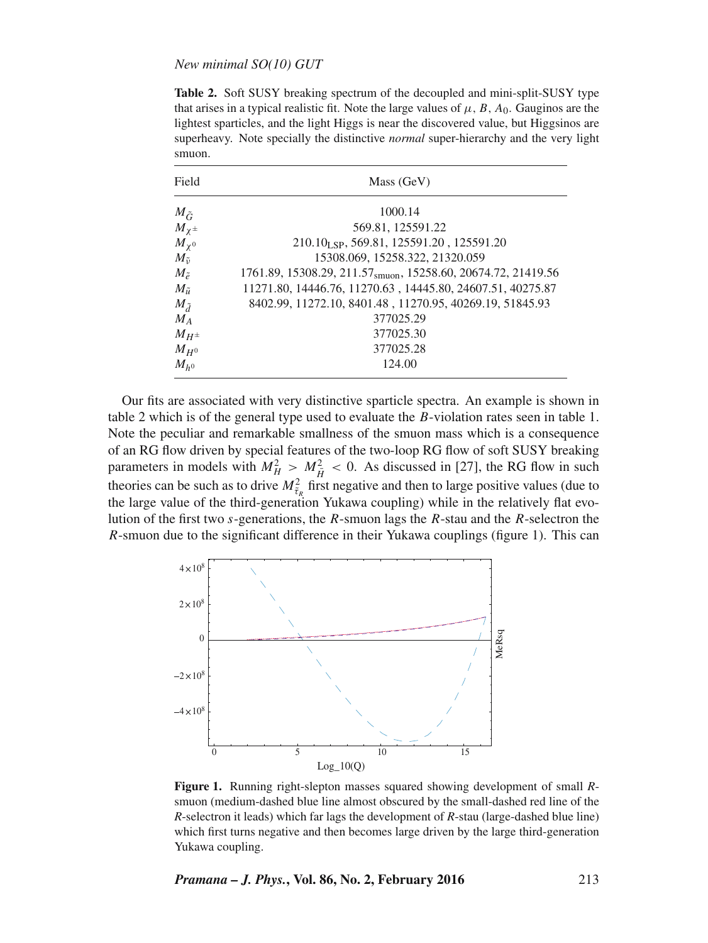Table 2. Soft SUSY breaking spectrum of the decoupled and mini-split-SUSY type that arises in a typical realistic fit. Note the large values of  $\mu$ ,  $B$ ,  $A_0$ . Gauginos are the lightest sparticles, and the light Higgs is near the discovered value, but Higgsinos are superheavy. Note specially the distinctive *normal* super-hierarchy and the very light smuon.

| Field             | Mass (GeV)                                                                |  |  |  |  |
|-------------------|---------------------------------------------------------------------------|--|--|--|--|
| $M_{\tilde{G}}$   | 1000.14                                                                   |  |  |  |  |
| $M_{\chi^{\pm}}$  | 569.81, 125591.22                                                         |  |  |  |  |
| $M_{\chi^0}$      | 210.10 <sub>LSP</sub> , 569.81, 125591.20, 125591.20                      |  |  |  |  |
| $M_{\tilde{\nu}}$ | 15308.069, 15258.322, 21320.059                                           |  |  |  |  |
| $M_{\tilde{e}}$   | 1761.89, 15308.29, 211.57 <sub>smuon</sub> , 15258.60, 20674.72, 21419.56 |  |  |  |  |
| $M_{\tilde{u}}$   | 11271.80, 14446.76, 11270.63, 14445.80, 24607.51, 40275.87                |  |  |  |  |
| $M_{\tilde{d}}$   | 8402.99, 11272.10, 8401.48, 11270.95, 40269.19, 51845.93                  |  |  |  |  |
| $M_A$             | 377025.29                                                                 |  |  |  |  |
| $M_{H^{\pm}}$     | 377025.30                                                                 |  |  |  |  |
| $M_{H^0}$         | 377025.28                                                                 |  |  |  |  |
| $M_{h0}$          | 124.00                                                                    |  |  |  |  |

Our fits are associated with very distinctive sparticle spectra. An example is shown in table 2 which is of the general type used to evaluate the B-violation rates seen in table 1. Note the peculiar and remarkable smallness of the smuon mass which is a consequence of an RG flow driven by special features of the two-loop RG flow of soft SUSY breaking parameters in models with  $M_H^2 > M_{\tilde{H}}^2 < 0$ . As discussed in [27], the RG flow in such theories can be such as to drive  $M_{\tilde{t}_R}^2$  first negative and then to large positive values (due to the large value of the third-generation Yukawa coupling) while in the relatively flat evolution of the first two s-generations, the  $R$ -smuon lags the  $R$ -stau and the  $R$ -selectron the R-smuon due to the significant difference in their Yukawa couplings (figure 1). This can



**Figure 1.** Running right-slepton masses squared showing development of small *R*smuon (medium-dashed blue line almost obscured by the small-dashed red line of the *R*-selectron it leads) which far lags the development of *R*-stau (large-dashed blue line) which first turns negative and then becomes large driven by the large third-generation Yukawa coupling.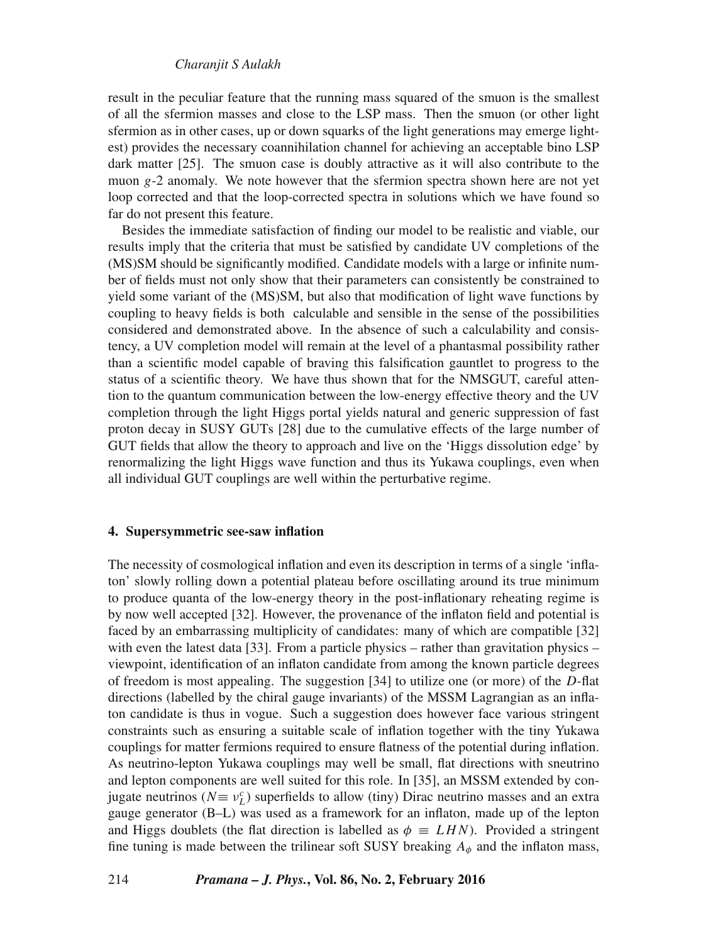## *Charanjit S Aulakh*

result in the peculiar feature that the running mass squared of the smuon is the smallest of all the sfermion masses and close to the LSP mass. Then the smuon (or other light sfermion as in other cases, up or down squarks of the light generations may emerge lightest) provides the necessary coannihilation channel for achieving an acceptable bino LSP dark matter [25]. The smuon case is doubly attractive as it will also contribute to the muon  $g - 2$  anomaly. We note however that the sfermion spectra shown here are not yet loop corrected and that the loop-corrected spectra in solutions which we have found so far do not present this feature.

Besides the immediate satisfaction of finding our model to be realistic and viable, our results imply that the criteria that must be satisfied by candidate UV completions of the (MS)SM should be significantly modified. Candidate models with a large or infinite number of fields must not only show that their parameters can consistently be constrained to yield some variant of the (MS)SM, but also that modification of light wave functions by coupling to heavy fields is both calculable and sensible in the sense of the possibilities considered and demonstrated above. In the absence of such a calculability and consistency, a UV completion model will remain at the level of a phantasmal possibility rather than a scientific model capable of braving this falsification gauntlet to progress to the status of a scientific theory. We have thus shown that for the NMSGUT, careful attention to the quantum communication between the low-energy effective theory and the UV completion through the light Higgs portal yields natural and generic suppression of fast proton decay in SUSY GUTs [28] due to the cumulative effects of the large number of GUT fields that allow the theory to approach and live on the 'Higgs dissolution edge' by renormalizing the light Higgs wave function and thus its Yukawa couplings, even when all individual GUT couplings are well within the perturbative regime.

## **4. Supersymmetric see-saw inflation**

The necessity of cosmological inflation and even its description in terms of a single 'inflaton' slowly rolling down a potential plateau before oscillating around its true minimum to produce quanta of the low-energy theory in the post-inflationary reheating regime is by now well accepted [32]. However, the provenance of the inflaton field and potential is faced by an embarrassing multiplicity of candidates: many of which are compatible [32] with even the latest data [33]. From a particle physics – rather than gravitation physics – viewpoint, identification of an inflaton candidate from among the known particle degrees of freedom is most appealing. The suggestion  $[34]$  to utilize one (or more) of the D-flat directions (labelled by the chiral gauge invariants) of the MSSM Lagrangian as an inflaton candidate is thus in vogue. Such a suggestion does however face various stringent constraints such as ensuring a suitable scale of inflation together with the tiny Yukawa couplings for matter fermions required to ensure flatness of the potential during inflation. As neutrino-lepton Yukawa couplings may well be small, flat directions with sneutrino and lepton components are well suited for this role. In [35], an MSSM extended by conjugate neutrinos ( $N \equiv v_L^c$ ) superfields to allow (tiny) Dirac neutrino masses and an extra gauge generator (B–L) was used as a framework for an inflaton, made up of the lepton and Higgs doublets (the flat direction is labelled as  $\phi \equiv LHN$ ). Provided a stringent fine tuning is made between the trilinear soft SUSY breaking  $A_{\phi}$  and the inflaton mass,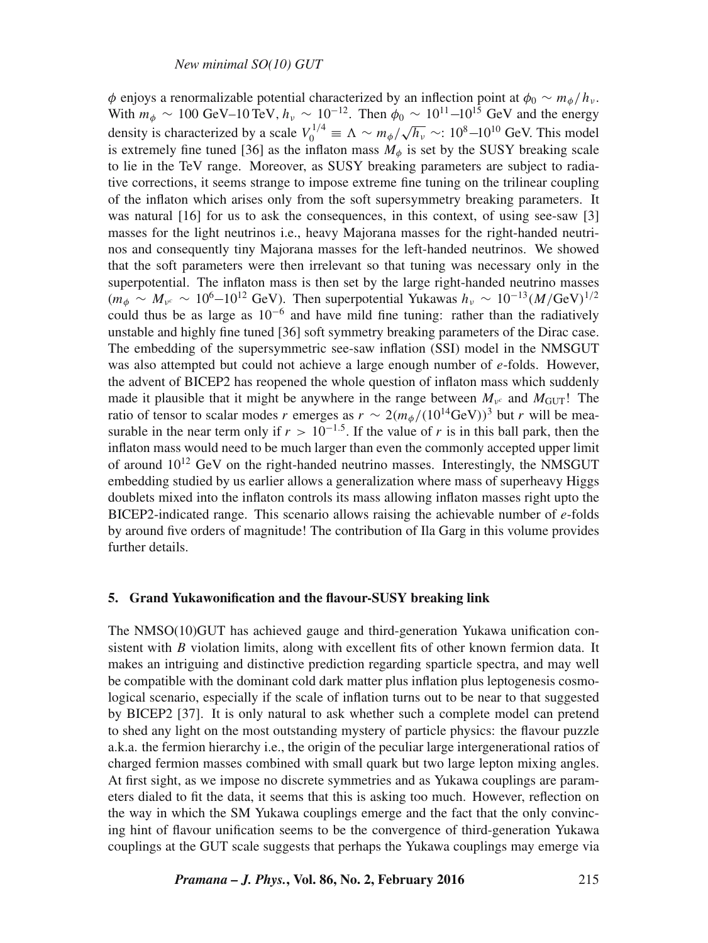φ enjoys a renormalizable potential characterized by an inflection point at  $\phi_0 \sim m_{\phi}/h_v$ . With  $m_{\phi} \sim 100 \text{ GeV} - 10 \text{ TeV}, h_{\nu} \sim 10^{-12}$ . Then  $\phi_0 \sim 10^{11} - 10^{15} \text{ GeV}$  and the energy density is characterized by a scale  $V_0^{1/4} \equiv \Lambda \sim m_\phi / \sqrt{h_v} \sim 10^8 - 10^{10}$  GeV. This model is extremely fine tuned [36] as the inflaton mass  $M_{\phi}$  is set by the SUSY breaking scale to lie in the TeV range. Moreover, as SUSY breaking parameters are subject to radiative corrections, it seems strange to impose extreme fine tuning on the trilinear coupling of the inflaton which arises only from the soft supersymmetry breaking parameters. It was natural [16] for us to ask the consequences, in this context, of using see-saw [3] masses for the light neutrinos i.e., heavy Majorana masses for the right-handed neutrinos and consequently tiny Majorana masses for the left-handed neutrinos. We showed that the soft parameters were then irrelevant so that tuning was necessary only in the superpotential. The inflaton mass is then set by the large right-handed neutrino masses  $(m_{\phi} \sim M_{\nu^c} \sim 10^6 - 10^{12} \text{ GeV})$ . Then superpotential Yukawas  $h_{\nu} \sim 10^{-13} (M/\text{GeV})^{1/2}$ could thus be as large as  $10^{-6}$  and have mild fine tuning: rather than the radiatively unstable and highly fine tuned [36] soft symmetry breaking parameters of the Dirac case. The embedding of the supersymmetric see-saw inflation (SSI) model in the NMSGUT was also attempted but could not achieve a large enough number of e-folds. However, the advent of BICEP2 has reopened the whole question of inflaton mass which suddenly made it plausible that it might be anywhere in the range between  $M_{\nu^c}$  and  $M_{\text{GUT}}$ ! The ratio of tensor to scalar modes r emerges as  $r \sim 2(m_\phi/(10^{14} \text{GeV}))^3$  but r will be measurable in the near term only if  $r > 10^{-1.5}$ . If the value of r is in this ball park, then the inflaton mass would need to be much larger than even the commonly accepted upper limit of around  $10^{12}$  GeV on the right-handed neutrino masses. Interestingly, the NMSGUT embedding studied by us earlier allows a generalization where mass of superheavy Higgs doublets mixed into the inflaton controls its mass allowing inflaton masses right upto the BICEP2-indicated range. This scenario allows raising the achievable number of  $e$ -folds by around five orders of magnitude! The contribution of Ila Garg in this volume provides further details.

## **5. Grand Yukawonification and the flavour-SUSY breaking link**

The NMSO(10)GUT has achieved gauge and third-generation Yukawa unification consistent with  $B$  violation limits, along with excellent fits of other known fermion data. It makes an intriguing and distinctive prediction regarding sparticle spectra, and may well be compatible with the dominant cold dark matter plus inflation plus leptogenesis cosmological scenario, especially if the scale of inflation turns out to be near to that suggested by BICEP2 [37]. It is only natural to ask whether such a complete model can pretend to shed any light on the most outstanding mystery of particle physics: the flavour puzzle a.k.a. the fermion hierarchy i.e., the origin of the peculiar large intergenerational ratios of charged fermion masses combined with small quark but two large lepton mixing angles. At first sight, as we impose no discrete symmetries and as Yukawa couplings are parameters dialed to fit the data, it seems that this is asking too much. However, reflection on the way in which the SM Yukawa couplings emerge and the fact that the only convincing hint of flavour unification seems to be the convergence of third-generation Yukawa couplings at the GUT scale suggests that perhaps the Yukawa couplings may emerge via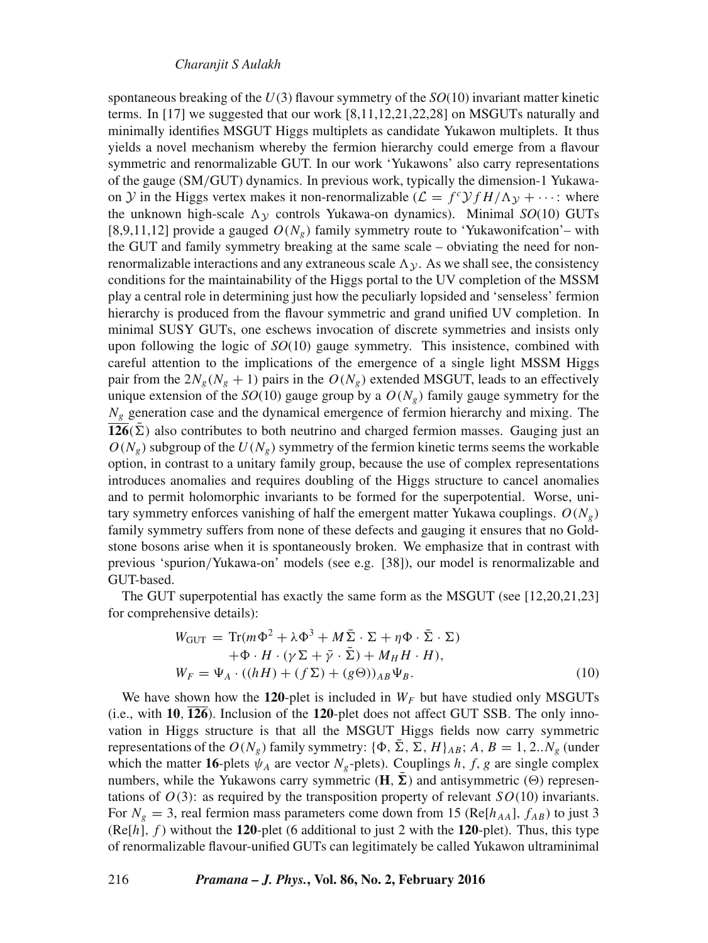spontaneous breaking of the U(3) flavour symmetry of the *SO*(10) invariant matter kinetic terms. In [17] we suggested that our work [8,11,12,21,22,28] on MSGUTs naturally and minimally identifies MSGUT Higgs multiplets as candidate Yukawon multiplets. It thus yields a novel mechanism whereby the fermion hierarchy could emerge from a flavour symmetric and renormalizable GUT. In our work 'Yukawons' also carry representations of the gauge (SM/GUT) dynamics. In previous work, typically the dimension-1 Yukawaon  $\mathcal Y$  in the Higgs vertex makes it non-renormalizable  $(\mathcal L = f^c \mathcal Y f H/\Lambda_{\mathcal Y} + \cdots$ : where the unknown high-scale  $\Lambda$ <sub>V</sub> controls Yukawa-on dynamics). Minimal *SO*(10) GUTs [8,9,11,12] provide a gauged  $O(N_e)$  family symmetry route to 'Yukawonifcation'– with the GUT and family symmetry breaking at the same scale – obviating the need for nonrenormalizable interactions and any extraneous scale  $\Lambda_{\mathcal{V}}$ . As we shall see, the consistency conditions for the maintainability of the Higgs portal to the UV completion of the MSSM play a central role in determining just how the peculiarly lopsided and 'senseless' fermion hierarchy is produced from the flavour symmetric and grand unified UV completion. In minimal SUSY GUTs, one eschews invocation of discrete symmetries and insists only upon following the logic of *SO*(10) gauge symmetry. This insistence, combined with careful attention to the implications of the emergence of a single light MSSM Higgs pair from the  $2N_g(N_g + 1)$  pairs in the  $O(N_g)$  extended MSGUT, leads to an effectively unique extension of the  $SO(10)$  gauge group by a  $O(N<sub>g</sub>)$  family gauge symmetry for the  $N<sub>g</sub>$  generation case and the dynamical emergence of fermion hierarchy and mixing. The **126**( $\bar{\Sigma}$ ) also contributes to both neutrino and charged fermion masses. Gauging just an  $O(N_g)$  subgroup of the  $U(N_g)$  symmetry of the fermion kinetic terms seems the workable option, in contrast to a unitary family group, because the use of complex representations introduces anomalies and requires doubling of the Higgs structure to cancel anomalies and to permit holomorphic invariants to be formed for the superpotential. Worse, unitary symmetry enforces vanishing of half the emergent matter Yukawa couplings.  $O(N<sub>g</sub>)$ family symmetry suffers from none of these defects and gauging it ensures that no Goldstone bosons arise when it is spontaneously broken. We emphasize that in contrast with previous 'spurion/Yukawa-on' models (see e.g. [38]), our model is renormalizable and GUT-based.

The GUT superpotential has exactly the same form as the MSGUT (see [12,20,21,23] for comprehensive details):

$$
W_{\text{GUT}} = \text{Tr}(m\Phi^2 + \lambda \Phi^3 + M\bar{\Sigma} \cdot \Sigma + \eta \Phi \cdot \bar{\Sigma} \cdot \Sigma) + \Phi \cdot H \cdot (\gamma \Sigma + \bar{\gamma} \cdot \bar{\Sigma}) + M_H H \cdot H), W_F = \Psi_A \cdot ((hH) + (f\Sigma) + (g\Theta))_{AB} \Psi_B.
$$
 (10)

We have shown how the **120**-plet is included in  $W_F$  but have studied only MSGUTs (i.e., with **10**, **126**). Inclusion of the **120**-plet does not affect GUT SSB. The only innovation in Higgs structure is that all the MSGUT Higgs fields now carry symmetric representations of the  $O(N_g)$  family symmetry: { $\Phi$ ,  $\bar{\Sigma}$ ,  $\Sigma$ ,  $H$ }<sub>AB</sub>; A, B = 1, 2..N<sub>g</sub> (under which the matter **16**-plets  $\psi_A$  are vector  $N_g$ -plets). Couplings h, f, g are single complex numbers, while the Yukawons carry symmetric  $(\mathbf{H}, \bar{\mathbf{\Sigma}})$  and antisymmetric  $(\Theta)$  representations of  $O(3)$ : as required by the transposition property of relevant  $SO(10)$  invariants. For  $N_g = 3$ , real fermion mass parameters come down from 15 (Re[ $h_{AA}$ ],  $f_{AB}$ ) to just 3  $(Re[h], f)$  without the **120**-plet (6 additional to just 2 with the **120**-plet). Thus, this type of renormalizable flavour-unified GUTs can legitimately be called Yukawon ultraminimal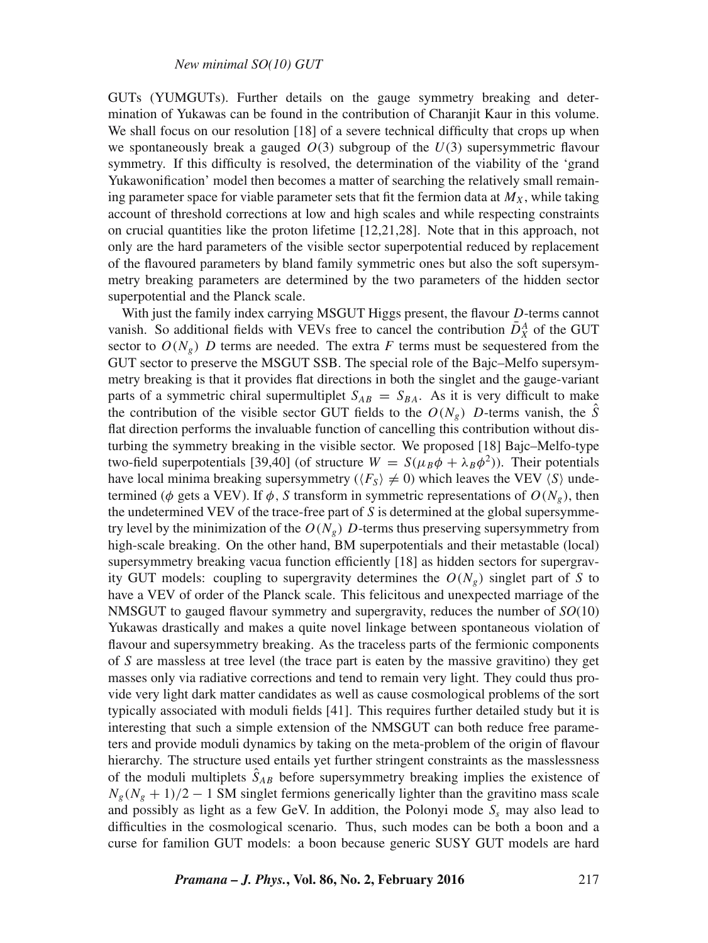GUTs (YUMGUTs). Further details on the gauge symmetry breaking and determination of Yukawas can be found in the contribution of Charanjit Kaur in this volume. We shall focus on our resolution [18] of a severe technical difficulty that crops up when we spontaneously break a gauged  $O(3)$  subgroup of the  $U(3)$  supersymmetric flavour symmetry. If this difficulty is resolved, the determination of the viability of the 'grand Yukawonification' model then becomes a matter of searching the relatively small remaining parameter space for viable parameter sets that fit the fermion data at  $M_X$ , while taking account of threshold corrections at low and high scales and while respecting constraints on crucial quantities like the proton lifetime [12,21,28]. Note that in this approach, not only are the hard parameters of the visible sector superpotential reduced by replacement of the flavoured parameters by bland family symmetric ones but also the soft supersymmetry breaking parameters are determined by the two parameters of the hidden sector superpotential and the Planck scale.

With just the family index carrying MSGUT Higgs present, the flavour *D*-terms cannot vanish. So additional fields with VEVs free to cancel the contribution  $\bar{D}_X^A$  of the GUT sector to  $O(N_e)$  D terms are needed. The extra F terms must be sequestered from the GUT sector to preserve the MSGUT SSB. The special role of the Bajc–Melfo supersymmetry breaking is that it provides flat directions in both the singlet and the gauge-variant parts of a symmetric chiral supermultiplet  $S_{AB} = S_{BA}$ . As it is very difficult to make the contribution of the visible sector GUT fields to the  $O(N_g)$  D-terms vanish, the  $\hat{S}$ flat direction performs the invaluable function of cancelling this contribution without disturbing the symmetry breaking in the visible sector. We proposed [18] Bajc–Melfo-type two-field superpotentials [39,40] (of structure  $W = S(\mu_B \phi + \lambda_B \phi^2)$ ). Their potentials have local minima breaking supersymmetry ( $\langle F_S \rangle \neq 0$ ) which leaves the VEV  $\langle S \rangle$  undetermined ( $\phi$  gets a VEV). If  $\phi$ , S transform in symmetric representations of  $O(N_e)$ , then the undetermined VEV of the trace-free part of  $S$  is determined at the global supersymmetry level by the minimization of the  $O(N_e)$  D-terms thus preserving supersymmetry from high-scale breaking. On the other hand, BM superpotentials and their metastable (local) supersymmetry breaking vacua function efficiently [18] as hidden sectors for supergravity GUT models: coupling to supergravity determines the  $O(N_e)$  singlet part of S to have a VEV of order of the Planck scale. This felicitous and unexpected marriage of the NMSGUT to gauged flavour symmetry and supergravity, reduces the number of *SO*(10) Yukawas drastically and makes a quite novel linkage between spontaneous violation of flavour and supersymmetry breaking. As the traceless parts of the fermionic components of S are massless at tree level (the trace part is eaten by the massive gravitino) they get masses only via radiative corrections and tend to remain very light. They could thus provide very light dark matter candidates as well as cause cosmological problems of the sort typically associated with moduli fields [41]. This requires further detailed study but it is interesting that such a simple extension of the NMSGUT can both reduce free parameters and provide moduli dynamics by taking on the meta-problem of the origin of flavour hierarchy. The structure used entails yet further stringent constraints as the masslessness of the moduli multiplets  $\ddot{S}_{AB}$  before supersymmetry breaking implies the existence of  $N_g(N_g + 1)/2 - 1$  SM singlet fermions generically lighter than the gravitino mass scale and possibly as light as a few GeV. In addition, the Polonyi mode  $S<sub>s</sub>$  may also lead to difficulties in the cosmological scenario. Thus, such modes can be both a boon and a curse for familion GUT models: a boon because generic SUSY GUT models are hard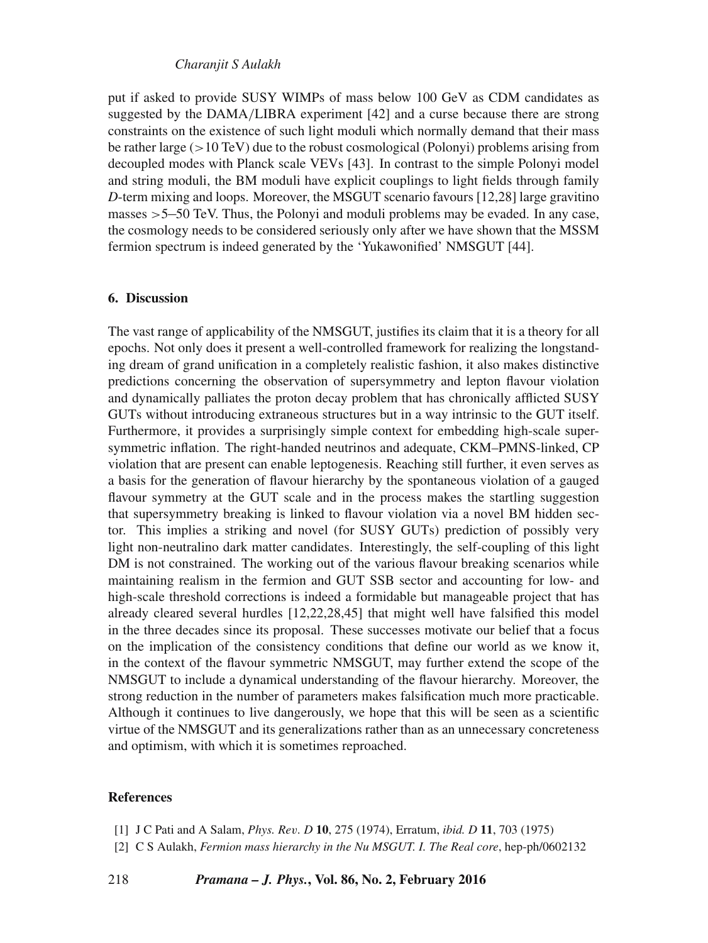## *Charanjit S Aulakh*

put if asked to provide SUSY WIMPs of mass below 100 GeV as CDM candidates as suggested by the DAMA/LIBRA experiment [42] and a curse because there are strong constraints on the existence of such light moduli which normally demand that their mass be rather large  $(>10 \text{ TeV})$  due to the robust cosmological (Polonyi) problems arising from decoupled modes with Planck scale VEVs [43]. In contrast to the simple Polonyi model and string moduli, the BM moduli have explicit couplings to light fields through family *D*-term mixing and loops. Moreover, the MSGUT scenario favours [12,28] large gravitino masses >5−50 TeV. Thus, the Polonyi and moduli problems may be evaded. In any case, the cosmology needs to be considered seriously only after we have shown that the MSSM fermion spectrum is indeed generated by the 'Yukawonified' NMSGUT [44].

## **6. Discussion**

The vast range of applicability of the NMSGUT, justifies its claim that it is a theory for all epochs. Not only does it present a well-controlled framework for realizing the longstanding dream of grand unification in a completely realistic fashion, it also makes distinctive predictions concerning the observation of supersymmetry and lepton flavour violation and dynamically palliates the proton decay problem that has chronically afflicted SUSY GUTs without introducing extraneous structures but in a way intrinsic to the GUT itself. Furthermore, it provides a surprisingly simple context for embedding high-scale supersymmetric inflation. The right-handed neutrinos and adequate, CKM–PMNS-linked, CP violation that are present can enable leptogenesis. Reaching still further, it even serves as a basis for the generation of flavour hierarchy by the spontaneous violation of a gauged flavour symmetry at the GUT scale and in the process makes the startling suggestion that supersymmetry breaking is linked to flavour violation via a novel BM hidden sector. This implies a striking and novel (for SUSY GUTs) prediction of possibly very light non-neutralino dark matter candidates. Interestingly, the self-coupling of this light DM is not constrained. The working out of the various flavour breaking scenarios while maintaining realism in the fermion and GUT SSB sector and accounting for low- and high-scale threshold corrections is indeed a formidable but manageable project that has already cleared several hurdles [12,22,28,45] that might well have falsified this model in the three decades since its proposal. These successes motivate our belief that a focus on the implication of the consistency conditions that define our world as we know it, in the context of the flavour symmetric NMSGUT, may further extend the scope of the NMSGUT to include a dynamical understanding of the flavour hierarchy. Moreover, the strong reduction in the number of parameters makes falsification much more practicable. Although it continues to live dangerously, we hope that this will be seen as a scientific virtue of the NMSGUT and its generalizations rather than as an unnecessary concreteness and optimism, with which it is sometimes reproached.

#### **References**

- [1] J C Pati and A Salam, *Phys. Re*v*. D* **10**, 275 (1974), Erratum, *ibid. D* **11**, 703 (1975)
- [2] C S Aulakh, *Fermion mass hierarchy in the Nu MSGUT. I. The Real core*, hep-ph/0602132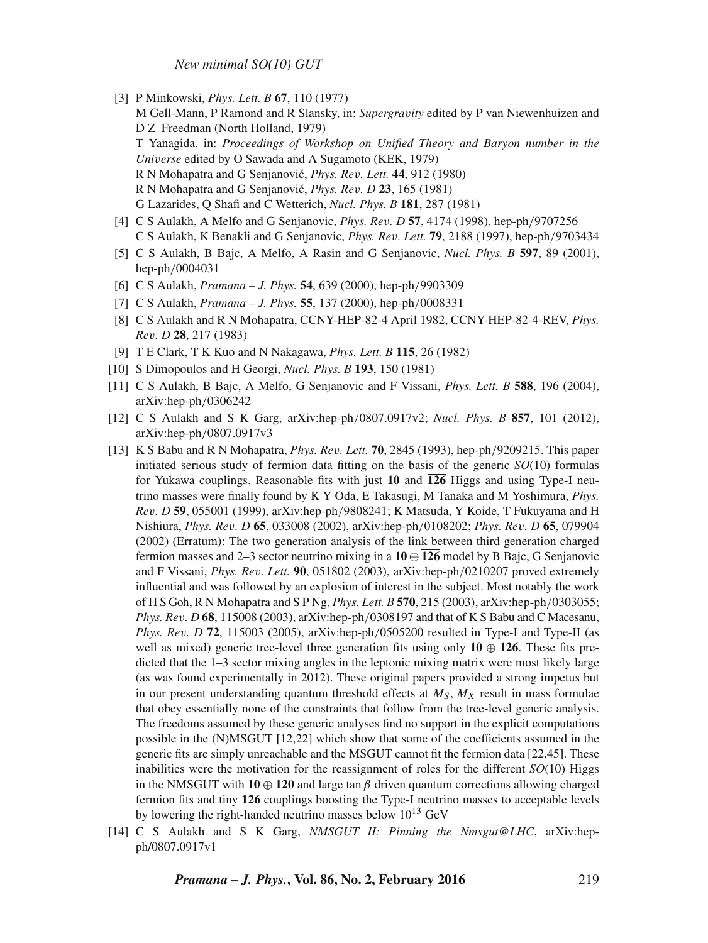*New minimal SO(10) GUT*

- [3] P Minkowski, *Phys. Lett. B* **67**, 110 (1977) M Gell-Mann, P Ramond and R Slansky, in: *Supergra*v*ity* edited by P van Niewenhuizen and D Z Freedman (North Holland, 1979) T Yanagida, in: *Proceedings of Workshop on Unified Theory and Baryon number in the Uni*v*erse* edited by O Sawada and A Sugamoto (KEK, 1979) R N Mohapatra and G Senjanovic,´ *Phys. Re*v*. Lett.* **44**, 912 (1980) R N Mohapatra and G Senjanovic,´ *Phys. Re*v*. D* **23**, 165 (1981) G Lazarides, Q Shafi and C Wetterich, *Nucl. Phys. B* **181**, 287 (1981)
- [4] C S Aulakh, A Melfo and G Senjanovic, *Phys. Re*v*. D* **57**, 4174 (1998), hep-ph/9707256 C S Aulakh, K Benakli and G Senjanovic, *Phys. Re*v*. Lett.* **79**, 2188 (1997), hep-ph/9703434
- [5] C S Aulakh, B Bajc, A Melfo, A Rasin and G Senjanovic, *Nucl. Phys. B* **597**, 89 (2001), hep-ph/0004031
- [6] C S Aulakh, *Pramana J. Phys.* **54**, 639 (2000), hep-ph/9903309
- [7] C S Aulakh, *Pramana J. Phys.* **55**, 137 (2000), hep-ph/0008331
- [8] C S Aulakh and R N Mohapatra, CCNY-HEP-82-4 April 1982, CCNY-HEP-82-4-REV, *Phys. Re*v*. D* **28**, 217 (1983)
- [9] T E Clark, T K Kuo and N Nakagawa, *Phys. Lett. B* **115**, 26 (1982)
- [10] S Dimopoulos and H Georgi, *Nucl. Phys. B* **193**, 150 (1981)
- [11] C S Aulakh, B Bajc, A Melfo, G Senjanovic and F Vissani, *Phys. Lett. B* **588**, 196 (2004), arXiv:hep-ph/0306242
- [12] C S Aulakh and S K Garg, arXiv:hep-ph/0807.0917v2; *Nucl. Phys. B* **857**, 101 (2012), arXiv:hep-ph/0807.0917v3
- [13] K S Babu and R N Mohapatra, *Phys. Re*v*. Lett.* **70**, 2845 (1993), hep-ph/9209215. This paper initiated serious study of fermion data fitting on the basis of the generic *SO*(10) formulas for Yukawa couplings. Reasonable fits with just **10** and **126** Higgs and using Type-I neutrino masses were finally found by K Y Oda, E Takasugi, M Tanaka and M Yoshimura, *Phys. Re*v*. D* **59**, 055001 (1999), arXiv:hep-ph/9808241; K Matsuda, Y Koide, T Fukuyama and H Nishiura, *Phys. Re*v*. D* **65**, 033008 (2002), arXiv:hep-ph/0108202; *Phys. Re*v*. D* **65**, 079904 (2002) (Erratum): The two generation analysis of the link between third generation charged fermion masses and 2–3 sector neutrino mixing in a **10** ⊕ **126** model by B Bajc, G Senjanovic and F Vissani, *Phys. Re*v*. Lett.* **90**, 051802 (2003), arXiv:hep-ph/0210207 proved extremely influential and was followed by an explosion of interest in the subject. Most notably the work of H S Goh, R N Mohapatra and S P Ng, *Phys. Lett. B* **570**, 215 (2003), arXiv:hep-ph/0303055; *Phys. Re*v*. D* **68**, 115008 (2003), arXiv:hep-ph/0308197 and that of K S Babu and C Macesanu, *Phys. Re*v*. D* **72**, 115003 (2005), arXiv:hep-ph/0505200 resulted in Type-I and Type-II (as well as mixed) generic tree-level three generation fits using only  $10 \oplus \overline{126}$ . These fits predicted that the 1–3 sector mixing angles in the leptonic mixing matrix were most likely large (as was found experimentally in 2012). These original papers provided a strong impetus but in our present understanding quantum threshold effects at  $M_S$ ,  $M_X$  result in mass formulae that obey essentially none of the constraints that follow from the tree-level generic analysis. The freedoms assumed by these generic analyses find no support in the explicit computations possible in the (N)MSGUT [12,22] which show that some of the coefficients assumed in the generic fits are simply unreachable and the MSGUT cannot fit the fermion data [22,45]. These inabilities were the motivation for the reassignment of roles for the different *SO*(10) Higgs in the NMSGUT with  $10 \oplus 120$  and large tan  $\beta$  driven quantum corrections allowing charged fermion fits and tiny  $\overline{126}$  couplings boosting the Type-I neutrino masses to acceptable levels by lowering the right-handed neutrino masses below  $10^{13}$  GeV
- [14] C S Aulakh and S K Garg, *NMSGUT II: Pinning the Nmsgut@LHC*, arXiv:hepph/0807.0917v1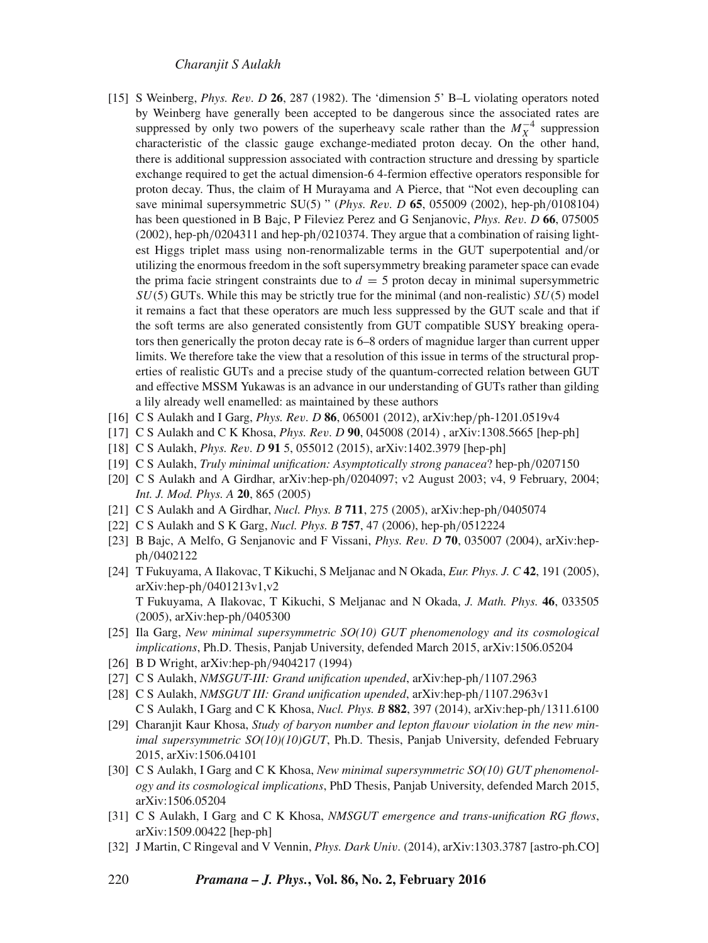- [15] S Weinberg, *Phys. Re*v*. D* **26**, 287 (1982). The 'dimension 5' B–L violating operators noted by Weinberg have generally been accepted to be dangerous since the associated rates are suppressed by only two powers of the superheavy scale rather than the  $M_X^{-4}$  suppression characteristic of the classic gauge exchange-mediated proton decay. On the other hand, there is additional suppression associated with contraction structure and dressing by sparticle exchange required to get the actual dimension-6 4-fermion effective operators responsible for proton decay. Thus, the claim of H Murayama and A Pierce, that "Not even decoupling can save minimal supersymmetric SU(5) " (*Phys. Re*v*. D* **65**, 055009 (2002), hep-ph/0108104) has been questioned in B Bajc, P Fileviez Perez and G Senjanovic, *Phys. Re*v*. D* **66**, 075005 (2002), hep-ph/0204311 and hep-ph/0210374. They argue that a combination of raising lightest Higgs triplet mass using non-renormalizable terms in the GUT superpotential and/or utilizing the enormous freedom in the soft supersymmetry breaking parameter space can evade the prima facie stringent constraints due to  $d = 5$  proton decay in minimal supersymmetric  $SU(5)$  GUTs. While this may be strictly true for the minimal (and non-realistic)  $SU(5)$  model it remains a fact that these operators are much less suppressed by the GUT scale and that if the soft terms are also generated consistently from GUT compatible SUSY breaking operators then generically the proton decay rate is 6–8 orders of magnidue larger than current upper limits. We therefore take the view that a resolution of this issue in terms of the structural properties of realistic GUTs and a precise study of the quantum-corrected relation between GUT and effective MSSM Yukawas is an advance in our understanding of GUTs rather than gilding a lily already well enamelled: as maintained by these authors
- [16] C S Aulakh and I Garg, *Phys. Re*v*. D* **86**, 065001 (2012), arXiv:hep/ph-1201.0519v4
- [17] C S Aulakh and C K Khosa, *Phys. Re*v*. D* **90**, 045008 (2014) , arXiv:1308.5665 [hep-ph]
- [18] C S Aulakh, *Phys. Re*v*. D* **91** 5, 055012 (2015), arXiv:1402.3979 [hep-ph]
- [19] C S Aulakh, *Truly minimal unification: Asymptotically strong panacea*? hep-ph/0207150
- [20] C S Aulakh and A Girdhar, arXiv:hep-ph/0204097; v2 August 2003; v4, 9 February, 2004; *Int. J. Mod. Phys. A* **20**, 865 (2005)
- [21] C S Aulakh and A Girdhar, *Nucl. Phys. B* **711**, 275 (2005), arXiv:hep-ph/0405074
- [22] C S Aulakh and S K Garg, *Nucl. Phys. B* **757**, 47 (2006), hep-ph/0512224
- [23] B Bajc, A Melfo, G Senjanovic and F Vissani, *Phys. Re*v*. D* **70**, 035007 (2004), arXiv:hepph/0402122
- [24] T Fukuyama, A Ilakovac, T Kikuchi, S Meljanac and N Okada, *Eur. Phys. J. C* **42**, 191 (2005), arXiv:hep-ph/0401213v1,v2 T Fukuyama, A Ilakovac, T Kikuchi, S Meljanac and N Okada, *J. Math. Phys.* **46**, 033505 (2005), arXiv:hep-ph/0405300
- [25] Ila Garg, *New minimal supersymmetric SO(10) GUT phenomenology and its cosmological implications*, Ph.D. Thesis, Panjab University, defended March 2015, arXiv:1506.05204
- [26] B D Wright, arXiv:hep-ph/9404217 (1994)
- [27] C S Aulakh, *NMSGUT-III: Grand unification upended*, arXiv:hep-ph/1107.2963
- [28] C S Aulakh, *NMSGUT III: Grand unification upended*, arXiv:hep-ph/1107.2963v1 C S Aulakh, I Garg and C K Khosa, *Nucl. Phys. B* **882**, 397 (2014), arXiv:hep-ph/1311.6100
- [29] Charanjit Kaur Khosa, *Study of baryon number and lepton fla*v*our* v*iolation in the new minimal supersymmetric SO(10)(10)GUT*, Ph.D. Thesis, Panjab University, defended February 2015, arXiv:1506.04101
- [30] C S Aulakh, I Garg and C K Khosa, *New minimal supersymmetric SO(10) GUT phenomenology and its cosmological implications*, PhD Thesis, Panjab University, defended March 2015, arXiv:1506.05204
- [31] C S Aulakh, I Garg and C K Khosa, *NMSGUT emergence and trans-unification RG flows*, arXiv:1509.00422 [hep-ph]
- [32] J Martin, C Ringeval and V Vennin, *Phys. Dark Uni*v*.* (2014), arXiv:1303.3787 [astro-ph.CO]